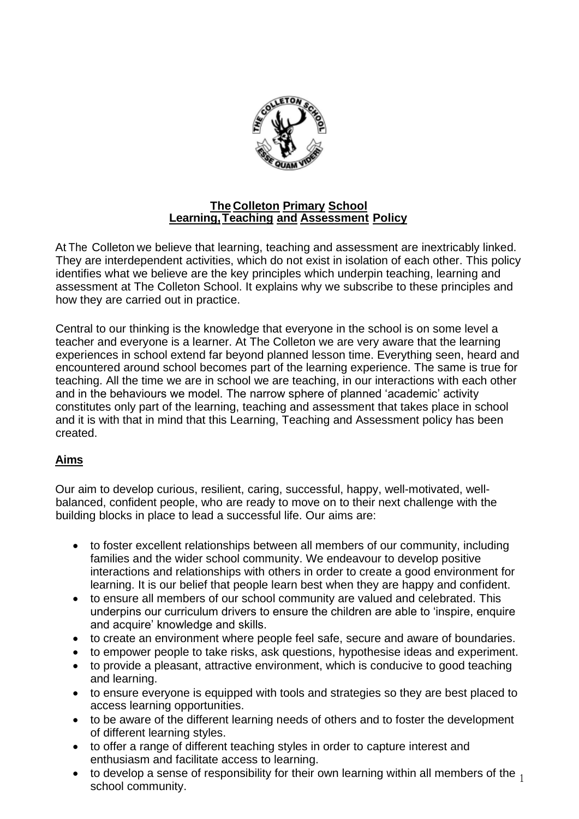

## **The Colleton Primary School Learning,Teaching and Assessment Policy**

At The Colleton we believe that learning, teaching and assessment are inextricably linked. They are interdependent activities, which do not exist in isolation of each other. This policy identifies what we believe are the key principles which underpin teaching, learning and assessment at The Colleton School. It explains why we subscribe to these principles and how they are carried out in practice.

Central to our thinking is the knowledge that everyone in the school is on some level a teacher and everyone is a learner. At The Colleton we are very aware that the learning experiences in school extend far beyond planned lesson time. Everything seen, heard and encountered around school becomes part of the learning experience. The same is true for teaching. All the time we are in school we are teaching, in our interactions with each other and in the behaviours we model. The narrow sphere of planned 'academic' activity constitutes only part of the learning, teaching and assessment that takes place in school and it is with that in mind that this Learning, Teaching and Assessment policy has been created.

## **Aims**

Our aim to develop curious, resilient, caring, successful, happy, well-motivated, wellbalanced, confident people, who are ready to move on to their next challenge with the building blocks in place to lead a successful life. Our aims are:

- to foster excellent relationships between all members of our community, including families and the wider school community. We endeavour to develop positive interactions and relationships with others in order to create a good environment for learning. It is our belief that people learn best when they are happy and confident.
- to ensure all members of our school community are valued and celebrated. This underpins our curriculum drivers to ensure the children are able to 'inspire, enquire and acquire' knowledge and skills.
- to create an environment where people feel safe, secure and aware of boundaries.
- to empower people to take risks, ask questions, hypothesise ideas and experiment.
- to provide a pleasant, attractive environment, which is conducive to good teaching and learning.
- to ensure everyone is equipped with tools and strategies so they are best placed to access learning opportunities.
- to be aware of the different learning needs of others and to foster the development of different learning styles.
- to offer a range of different teaching styles in order to capture interest and enthusiasm and facilitate access to learning.
- to develop a sense of responsibility for their own learning within all members of the  $\frac{1}{2}$  is develop a conce of responsibility for their curriculture within an incribere of the  $\frac{1}{2}$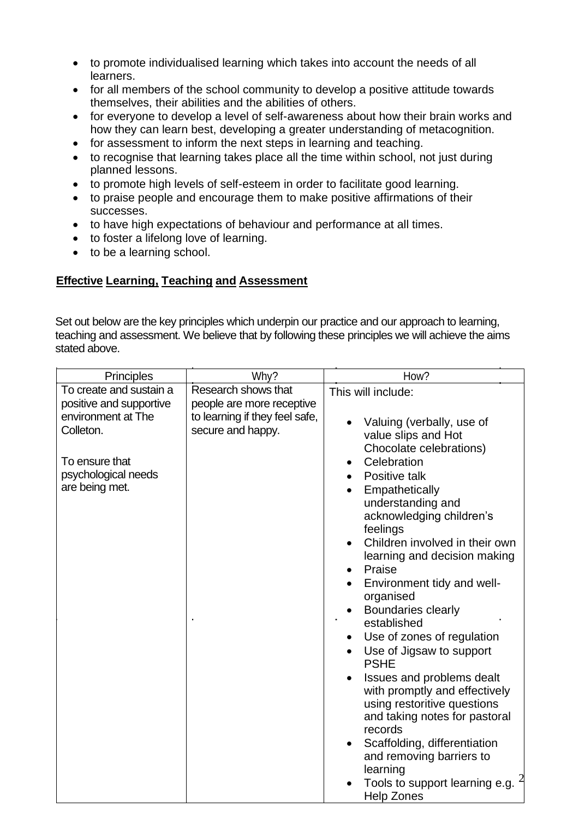- to promote individualised learning which takes into account the needs of all learners.
- for all members of the school community to develop a positive attitude towards themselves, their abilities and the abilities of others.
- for everyone to develop a level of self-awareness about how their brain works and how they can learn best, developing a greater understanding of metacognition.
- for assessment to inform the next steps in learning and teaching.
- to recognise that learning takes place all the time within school, not just during planned lessons.
- to promote high levels of self-esteem in order to facilitate good learning.
- to praise people and encourage them to make positive affirmations of their successes.
- to have high expectations of behaviour and performance at all times.
- to foster a lifelong love of learning.
- to be a learning school.

## **Effective Learning, Teaching and Assessment**

Set out below are the key principles which underpin our practice and our approach to learning, teaching and assessment. We believe that by following these principles we will achieve the aims stated above.

| <b>Principles</b>                                                                                                                                | Why?                                                                                                    | How?                                                                                                                                                                                                                                                                                                                                                                                                                                                                                                                                                                                                                                                                                                                                                                        |
|--------------------------------------------------------------------------------------------------------------------------------------------------|---------------------------------------------------------------------------------------------------------|-----------------------------------------------------------------------------------------------------------------------------------------------------------------------------------------------------------------------------------------------------------------------------------------------------------------------------------------------------------------------------------------------------------------------------------------------------------------------------------------------------------------------------------------------------------------------------------------------------------------------------------------------------------------------------------------------------------------------------------------------------------------------------|
| To create and sustain a<br>positive and supportive<br>environment at The<br>Colleton.<br>To ensure that<br>psychological needs<br>are being met. | Research shows that<br>people are more receptive<br>to learning if they feel safe,<br>secure and happy. | This will include:<br>Valuing (verbally, use of<br>value slips and Hot<br>Chocolate celebrations)<br>Celebration<br>Positive talk<br>Empathetically<br>understanding and<br>acknowledging children's<br>feelings<br>Children involved in their own<br>$\bullet$<br>learning and decision making<br>Praise<br>Environment tidy and well-<br>organised<br><b>Boundaries clearly</b><br>established<br>Use of zones of regulation<br>Use of Jigsaw to support<br><b>PSHE</b><br>Issues and problems dealt<br>$\bullet$<br>with promptly and effectively<br>using restoritive questions<br>and taking notes for pastoral<br>records<br>Scaffolding, differentiation<br>$\bullet$<br>and removing barriers to<br>learning<br>Tools to support learning e.g.<br><b>Help Zones</b> |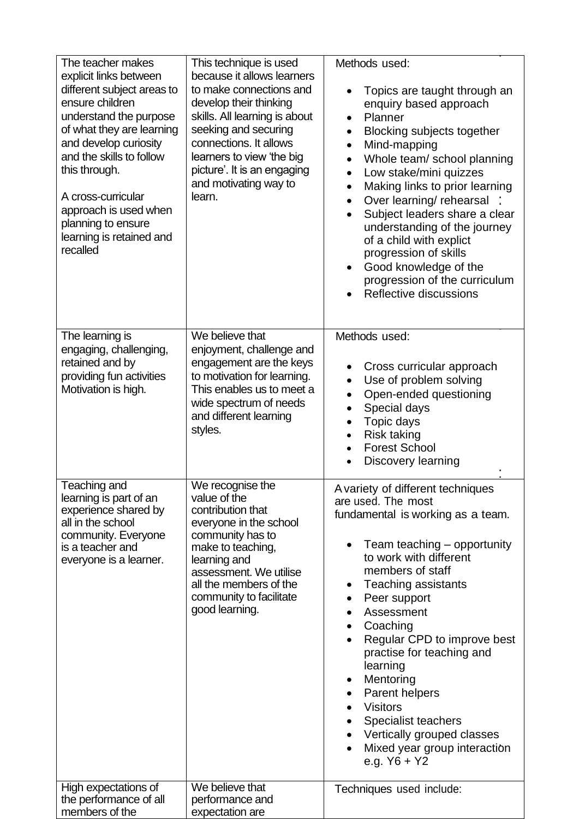| The teacher makes<br>explicit links between<br>different subject areas to<br>ensure children<br>understand the purpose<br>of what they are learning<br>and develop curiosity<br>and the skills to follow<br>this through.<br>A cross-curricular<br>approach is used when<br>planning to ensure<br>learning is retained and<br>recalled | This technique is used<br>because it allows learners<br>to make connections and<br>develop their thinking<br>skills. All learning is about<br>seeking and securing<br>connections. It allows<br>learners to view 'the big<br>picture'. It is an engaging<br>and motivating way to<br>learn. | Methods used:<br>Topics are taught through an<br>enquiry based approach<br>Planner<br>$\bullet$<br><b>Blocking subjects together</b><br>$\bullet$<br>Mind-mapping<br>$\bullet$<br>Whole team/ school planning<br>$\bullet$<br>Low stake/mini quizzes<br>$\bullet$<br>Making links to prior learning<br>Over learning/ rehearsal<br>$\bullet$<br>Subject leaders share a clear<br>understanding of the journey<br>of a child with explict<br>progression of skills<br>Good knowledge of the<br>progression of the curriculum<br>Reflective discussions |
|----------------------------------------------------------------------------------------------------------------------------------------------------------------------------------------------------------------------------------------------------------------------------------------------------------------------------------------|---------------------------------------------------------------------------------------------------------------------------------------------------------------------------------------------------------------------------------------------------------------------------------------------|-------------------------------------------------------------------------------------------------------------------------------------------------------------------------------------------------------------------------------------------------------------------------------------------------------------------------------------------------------------------------------------------------------------------------------------------------------------------------------------------------------------------------------------------------------|
| The learning is<br>engaging, challenging,<br>retained and by<br>providing fun activities<br>Motivation is high.                                                                                                                                                                                                                        | We believe that<br>enjoyment, challenge and<br>engagement are the keys<br>to motivation for learning.<br>This enables us to meet a<br>wide spectrum of needs<br>and different learning<br>styles.                                                                                           | Methods used:<br>Cross curricular approach<br>Use of problem solving<br>Open-ended questioning<br>Special days<br>Topic days<br>$\bullet$<br><b>Risk taking</b><br>$\bullet$<br><b>Forest School</b><br>Discovery learning                                                                                                                                                                                                                                                                                                                            |
| Teaching and<br>learning is part of an<br>experience shared by<br>all in the school<br>community. Everyone<br>is a teacher and<br>everyone is a learner.                                                                                                                                                                               | We recognise the<br>value of the<br>contribution that<br>everyone in the school<br>community has to<br>make to teaching,<br>learning and<br>assessment. We utilise<br>all the members of the<br>community to facilitate<br>good learning.                                                   | A variety of different techniques<br>are used. The most<br>fundamental is working as a team.<br>Team teaching - opportunity<br>to work with different<br>members of staff<br>Teaching assistants<br>$\bullet$<br>Peer support<br>Assessment<br>Coaching<br>Regular CPD to improve best<br>practise for teaching and<br>learning<br>Mentoring<br>Parent helpers<br><b>Visitors</b><br>Specialist teachers<br>Vertically grouped classes<br>$\bullet$<br>Mixed year group interaction<br>e.g. $Y6 + Y2$                                                 |
| High expectations of<br>the performance of all<br>members of the                                                                                                                                                                                                                                                                       | We believe that<br>performance and<br>expectation are                                                                                                                                                                                                                                       | Techniques used include:                                                                                                                                                                                                                                                                                                                                                                                                                                                                                                                              |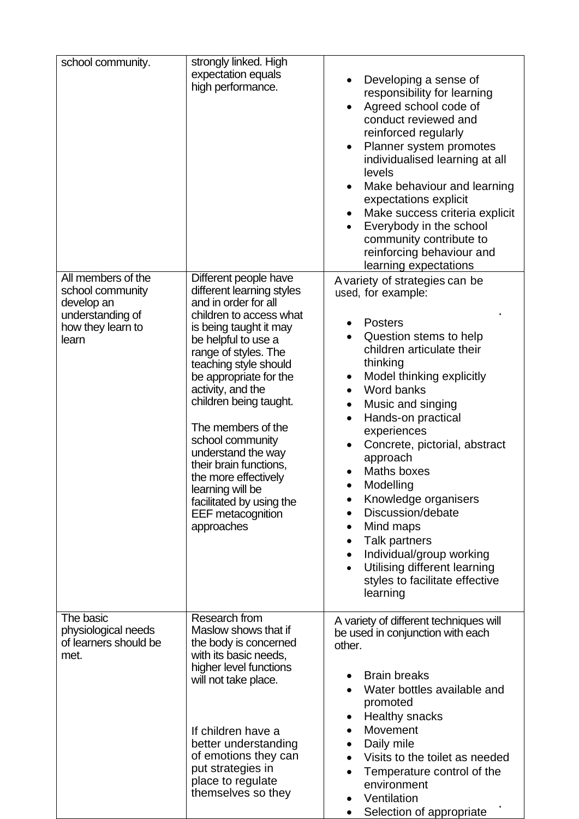| school community.                                                                                      | strongly linked. High<br>expectation equals<br>high performance.                                                                                                                                                                                                                                                                                                                                                                                                                             | Developing a sense of<br>$\bullet$<br>responsibility for learning<br>Agreed school code of<br>$\bullet$<br>conduct reviewed and<br>reinforced regularly<br>Planner system promotes<br>$\bullet$<br>individualised learning at all<br>levels<br>Make behaviour and learning<br>expectations explicit<br>Make success criteria explicit<br>$\bullet$<br>Everybody in the school<br>$\bullet$<br>community contribute to<br>reinforcing behaviour and<br>learning expectations                                                                                                                                                                    |
|--------------------------------------------------------------------------------------------------------|----------------------------------------------------------------------------------------------------------------------------------------------------------------------------------------------------------------------------------------------------------------------------------------------------------------------------------------------------------------------------------------------------------------------------------------------------------------------------------------------|------------------------------------------------------------------------------------------------------------------------------------------------------------------------------------------------------------------------------------------------------------------------------------------------------------------------------------------------------------------------------------------------------------------------------------------------------------------------------------------------------------------------------------------------------------------------------------------------------------------------------------------------|
| All members of the<br>school community<br>develop an<br>understanding of<br>how they learn to<br>learn | Different people have<br>different learning styles<br>and in order for all<br>children to access what<br>is being taught it may<br>be helpful to use a<br>range of styles. The<br>teaching style should<br>be appropriate for the<br>activity, and the<br>children being taught.<br>The members of the<br>school community<br>understand the way<br>their brain functions,<br>the more effectively<br>learning will be<br>facilitated by using the<br><b>EEF</b> metacognition<br>approaches | A variety of strategies can be<br>used, for example:<br><b>Posters</b><br>Question stems to help<br>$\bullet$<br>children articulate their<br>thinking<br>Model thinking explicitly<br>$\bullet$<br>Word banks<br>$\bullet$<br>Music and singing<br>$\bullet$<br>Hands-on practical<br>$\bullet$<br>experiences<br>Concrete, pictorial, abstract<br>$\bullet$<br>approach<br>Maths boxes<br>Modelling<br>Knowledge organisers<br>Discussion/debate<br>Mind maps<br>$\bullet$<br>Talk partners<br>$\bullet$<br>Individual/group working<br>$\bullet$<br>Utilising different learning<br>$\bullet$<br>styles to facilitate effective<br>learning |
| The basic<br>physiological needs<br>of learners should be<br>met.                                      | Research from<br>Maslow shows that if<br>the body is concerned<br>with its basic needs,<br>higher level functions<br>will not take place.<br>If children have a<br>better understanding<br>of emotions they can<br>put strategies in<br>place to regulate<br>themselves so they                                                                                                                                                                                                              | A variety of different techniques will<br>be used in conjunction with each<br>other.<br><b>Brain breaks</b><br>Water bottles available and<br>$\bullet$<br>promoted<br><b>Healthy snacks</b><br>Movement<br>$\bullet$<br>Daily mile<br>$\bullet$<br>Visits to the toilet as needed<br>$\bullet$<br>Temperature control of the<br>$\bullet$<br>environment<br>Ventilation<br>$\bullet$<br>Selection of appropriate<br>$\bullet$                                                                                                                                                                                                                 |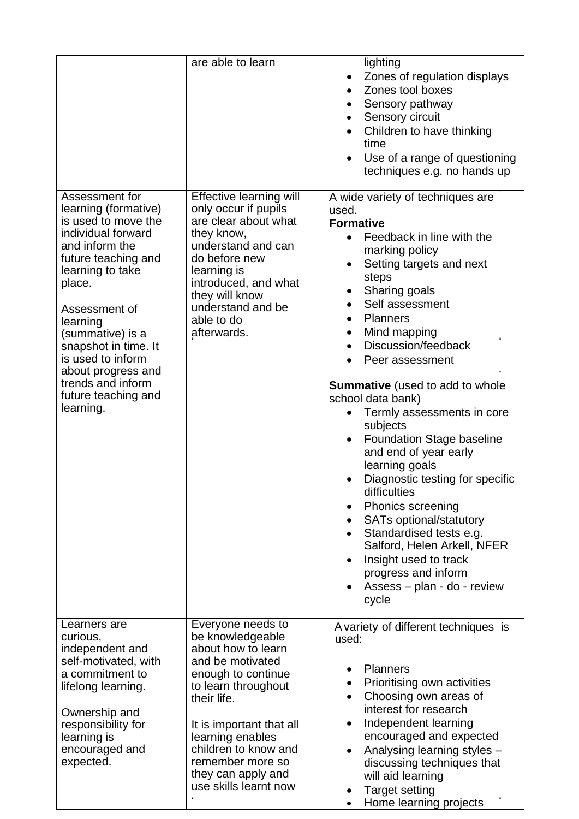|                                                                                                                                                                                                                                                                                                                                         | are able to learn                                                                                                                                                                                                                                                                      | lighting<br>Zones of regulation displays<br>٠<br>Zones tool boxes<br>Sensory pathway<br>Sensory circuit<br>Children to have thinking<br>$\bullet$<br>time<br>Use of a range of questioning<br>$\bullet$<br>techniques e.g. no hands up                                                                                                                                                                                                                                                                                                                                                                                                                                                                                                                                                               |
|-----------------------------------------------------------------------------------------------------------------------------------------------------------------------------------------------------------------------------------------------------------------------------------------------------------------------------------------|----------------------------------------------------------------------------------------------------------------------------------------------------------------------------------------------------------------------------------------------------------------------------------------|------------------------------------------------------------------------------------------------------------------------------------------------------------------------------------------------------------------------------------------------------------------------------------------------------------------------------------------------------------------------------------------------------------------------------------------------------------------------------------------------------------------------------------------------------------------------------------------------------------------------------------------------------------------------------------------------------------------------------------------------------------------------------------------------------|
| Assessment for<br>learning (formative)<br>is used to move the<br>individual forward<br>and inform the<br>future teaching and<br>learning to take<br>place.<br>Assessment of<br>learning<br>(summative) is a<br>snapshot in time. It<br>is used to inform<br>about progress and<br>trends and inform<br>future teaching and<br>learning. | Effective learning will<br>only occur if pupils<br>are clear about what<br>they know,<br>understand and can<br>do before new<br>learning is<br>introduced, and what<br>they will know<br>understand and be<br>able to do<br>afterwards.                                                | A wide variety of techniques are<br>used.<br><b>Formative</b><br>Feedback in line with the<br>$\bullet$<br>marking policy<br>Setting targets and next<br>$\bullet$<br>steps<br>Sharing goals<br>Self assessment<br><b>Planners</b><br>Mind mapping<br>$\bullet$<br>Discussion/feedback<br>Peer assessment<br><b>Summative</b> (used to add to whole<br>school data bank)<br>Termly assessments in core<br>subjects<br><b>Foundation Stage baseline</b><br>$\bullet$<br>and end of year early<br>learning goals<br>Diagnostic testing for specific<br>$\bullet$<br>difficulties<br>Phonics screening<br><b>SATs optional/statutory</b><br>Standardised tests e.g.<br>$\bullet$<br>Salford, Helen Arkell, NFER<br>Insight used to track<br>progress and inform<br>Assess - plan - do - review<br>cycle |
| Learners are<br>curious,<br>independent and<br>self-motivated, with<br>a commitment to<br>lifelong learning.<br>Ownership and<br>responsibility for<br>learning is<br>encouraged and<br>expected.                                                                                                                                       | Everyone needs to<br>be knowledgeable<br>about how to learn<br>and be motivated<br>enough to continue<br>to learn throughout<br>their life.<br>It is important that all<br>learning enables<br>children to know and<br>remember more so<br>they can apply and<br>use skills learnt now | A variety of different techniques is<br>used:<br><b>Planners</b><br>Prioritising own activities<br>Choosing own areas of<br>$\bullet$<br>interest for research<br>Independent learning<br>encouraged and expected<br>Analysing learning styles -<br>discussing techniques that<br>will aid learning<br><b>Target setting</b><br>Home learning projects                                                                                                                                                                                                                                                                                                                                                                                                                                               |